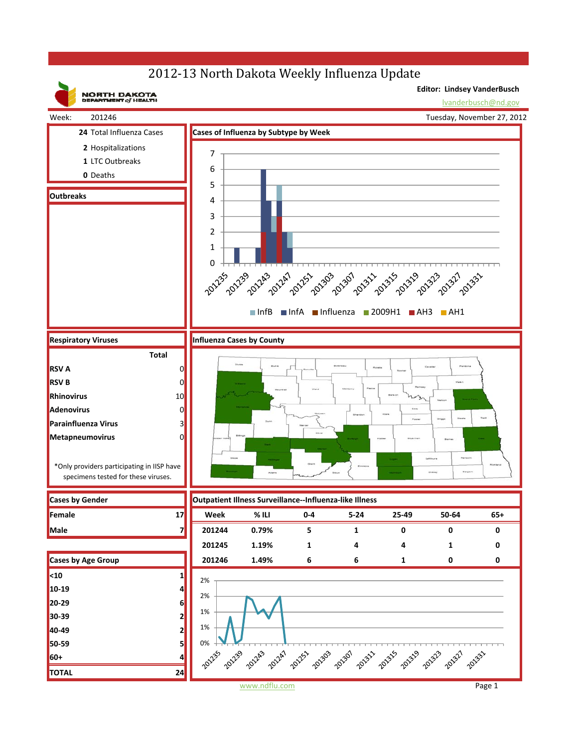## 2012-13 North Dakota Weekly Influenza Update